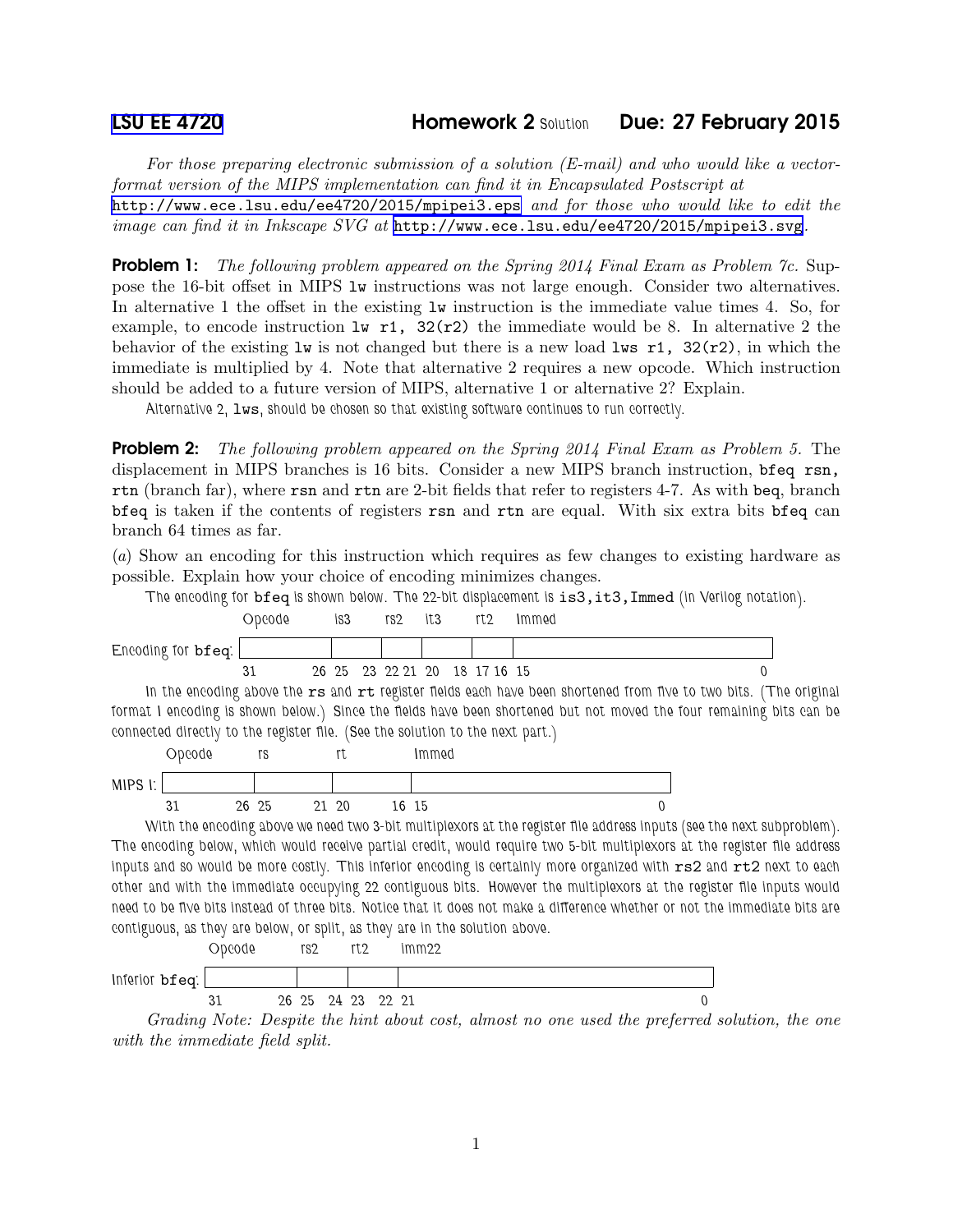## [LSU EE 4720](http://www.ece.lsu.edu/ee4720/) Homework 2 *Solution* Due: 27 February 2015

*For those preparing electronic submission of a solution (E-mail) and who would like a vectorformat version of the MIPS implementation can find it in Encapsulated Postscript at* <http://www.ece.lsu.edu/ee4720/2015/mpipei3.eps> *and for those who would like to edit the image can find it in Inkscape SVG at* <http://www.ece.lsu.edu/ee4720/2015/mpipei3.svg>*.*

Problem 1: *The following problem appeared on the Spring 2014 Final Exam as Problem 7c.* Suppose the 16-bit offset in MIPS lw instructions was not large enough. Consider two alternatives. In alternative 1 the offset in the existing lw instruction is the immediate value times 4. So, for example, to encode instruction  $\text{lw } r1$ , 32(r2) the immediate would be 8. In alternative 2 the behavior of the existing  $\text{Iw}$  is not changed but there is a new load  $\text{Iw}$  r1, 32(r2), in which the immediate is multiplied by 4. Note that alternative 2 requires a new opcode. Which instruction should be added to a future version of MIPS, alternative 1 or alternative 2? Explain.

*Alternative 2,* lws*, should be chosen so that existing software continues to run correctly.*

Problem 2: *The following problem appeared on the Spring 2014 Final Exam as Problem 5.* The displacement in MIPS branches is 16 bits. Consider a new MIPS branch instruction, bfeq rsn, rtn (branch far), where rsn and rtn are 2-bit fields that refer to registers 4-7. As with beq, branch bfeq is taken if the contents of registers rsn and rtn are equal. With six extra bits bfeq can branch 64 times as far.

(*a*) Show an encoding for this instruction which requires as few changes to existing hardware as possible. Explain how your choice of encoding minimizes changes.





*Grading Note: Despite the hint about cost, almost no one used the preferred solution, the one with the immediate field split.*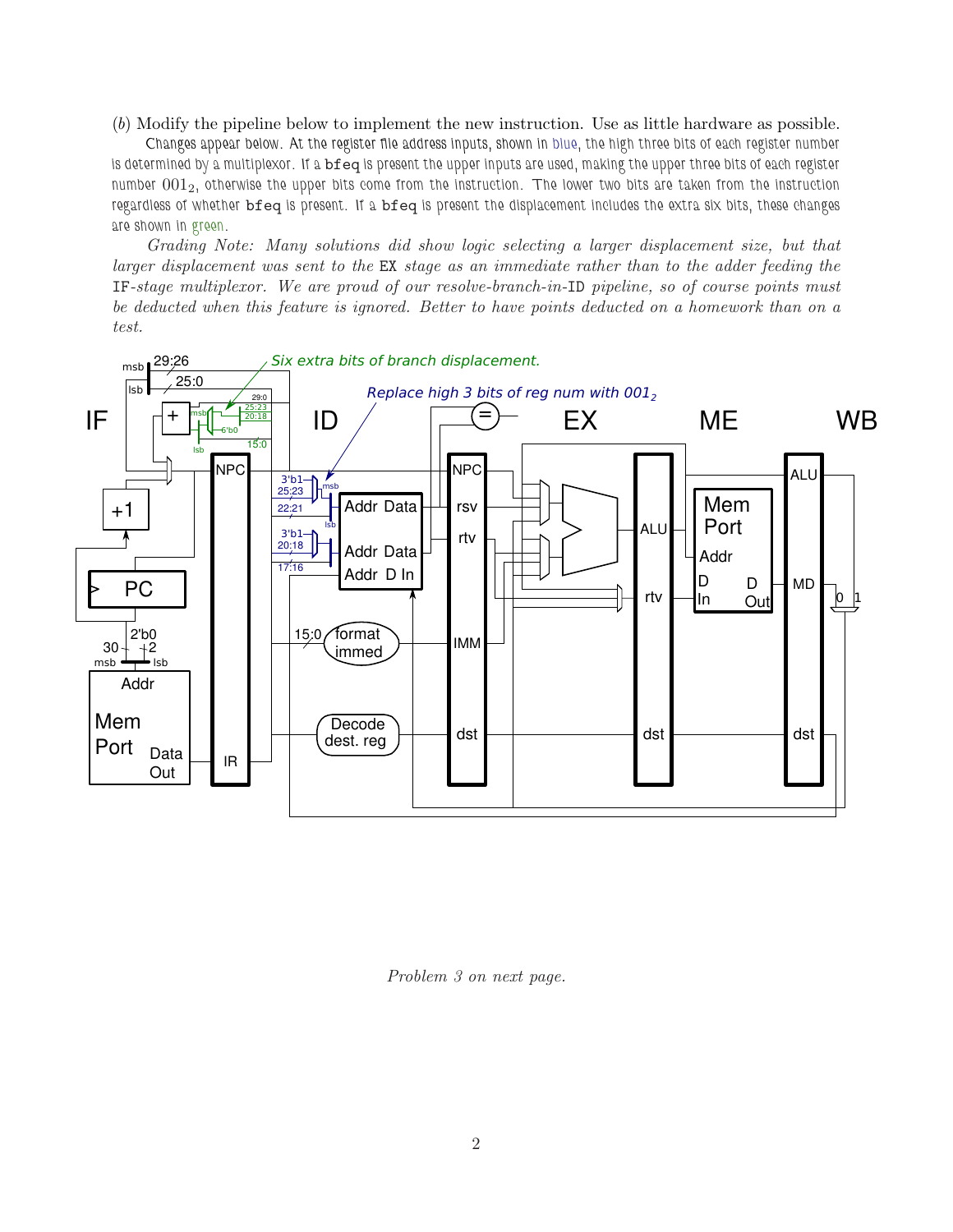(*b*) Modify the pipeline below to implement the new instruction. Use as little hardware as possible.

*Changes appear below. At the register file address inputs, shown in blue, the high three bits of each register number is determined by a multiplexor. If a* bfeq *is present the upper inputs are used, making the upper three bits of each register number* 0012*, otherwise the upper bits come from the instruction. The lower two bits are taken from the instruction regardless of whether* bfeq *is present. If a* bfeq *is present the displacement includes the extra six bits, these changes are shown in green.*

*Grading Note: Many solutions did show logic selecting a larger displacement size, but that larger displacement was sent to the* EX *stage as an immediate rather than to the adder feeding the* IF*-stage multiplexor. We are proud of our resolve-branch-in-*ID *pipeline, so of course points must be deducted when this feature is ignored. Better to have points deducted on a homework than on a test.*



*Problem 3 on next page.*